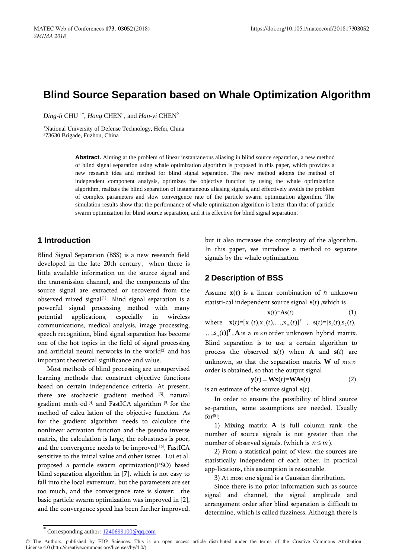# **Blind Source Separation based on Whale Optimization Algorithm**

Ding-li CHU<sup>1\*</sup>, *Hong* CHEN<sup>1</sup>, and *Han-yi* CHEN<sup>2</sup>

<sup>1</sup>National University of Defense Technology, Hefei, China <sup>2</sup>73630 Brigade, Fuzhou, China

> **Abstract.** Aiming at the problem of linear instantaneous aliasing in blind source separation, a new method of blind signal separation using whale optimization algorithm is proposed in this paper, which provides a new research idea and method for blind signal separation. The new method adopts the method of independent component analysis, optimizes the objective function by using the whale optimization algorithm, realizes the blind separation of instantaneous aliasing signals, and effectively avoids the problem of complex parameters and slow convergence rate of the particle swarm optimization algorithm. The simulation results show that the performance of whale optimization algorithm is better than that of particle swarm optimization for blind source separation, and it is effective for blind signal separation.

## **1 Introduction**

Blind Signal Separation (BSS) is a new research field developed in the late 20th century, when there is little available information on the source signal and the transmission channel, and the components of the source signal are extracted or recovered from the observed mixed signal<sup>[1]</sup>. Blind signal separation is a powerful signal processing method with many potential applications, especially in wireless communications, medical analysis, image processing, speech recognition, blind signal separation has become one of the hot topics in the field of signal processing and artificial neural networks in the world<sup>[2]</sup> and has important theoretical significance and value.

Most methods of blind processing are unsupervised learning methods that construct objective functions based on certain independence criteria. At present, there are stochastic gradient method [3], natural gradient meth-od [4] and FastICA algorithm [5] for the method of calcu-lation of the objective function. As for the gradient algorithm needs to calculate the nonlinear activation function and the pseudo inverse matrix, the calculation is large, the robustness is poor, and the convergence needs to be improved [6], FastICA sensitive to the initial value and other issues. Lui et al. proposed a particle swarm optimization(PSO) based blind separation algorithm in [7], which is not easy to fall into the local extremum, but the parameters are set too much, and the convergence rate is slower; the basic particle swarm optimization was improved in [2], and the convergence speed has been further improved,

but it also increases the complexity of the algorithm. In this paper, we introduce a method to separate signals by the whale optimization.

## **2 Description of BSS**

Assume  $\mathbf{x}(t)$  is a linear combination of *n* unknown statisti-cal independent source signal  $s(t)$ , which is

$$
\mathbf{x}(t) = \mathbf{A}\mathbf{s}(t)
$$
 (1)  
where  $\mathbf{x}(t) = [x_1(t), x_2(t), ..., x_m(t)]^T$ ,  $\mathbf{s}(t) = [s_1(t), s_2(t), ..., s_n(t)]^T$ , **A** is a *m*×*n* order unknown hybrid matrix.  
Blind separation is to use a certain algorithm to process the observed  $\mathbf{x}(t)$  when **A** and  $\mathbf{s}(t)$  are unknown, so that the separation matrix **W** of *m*×*n* order is obtained, so that the output signal

$$
\mathbf{y}(t) = \mathbf{W}\mathbf{x}(t) = \mathbf{W}\mathbf{A}\mathbf{s}(t) \tag{2}
$$

is an estimate of the source signal  $s(t)$ .

In order to ensure the possibility of blind source se-paration, some assumptions are needed. Usually  $for<sup>[8]</sup>$ :

1) Mixing matrix **A** is full column rank, the number of source signals is not greater than the number of observed signals. (which is  $n \leq m$ ).

2) From a statistical point of view, the sources are statistically independent of each other. In practical app-lications, this assumption is reasonable.

3) At most one signal is a Gaussian distribution.

Since there is no prior information such as source signal and channel, the signal amplitude and arrangement order after blind separation is difficult to determine, which is called fuzziness. Although there is

Corresponding author:  $1240699100@qq.com$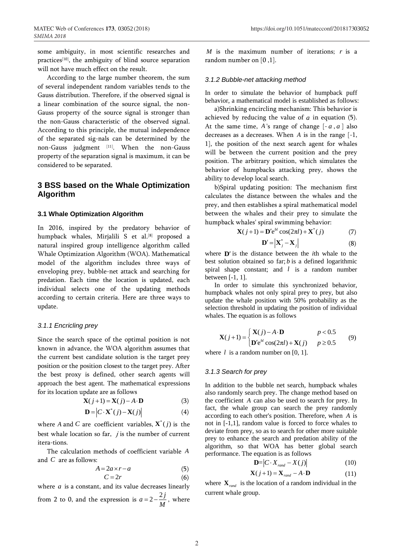some ambiguity, in most scientific researches and practices<sup>[10]</sup>, the ambiguity of blind source separation will not have much effect on the result.

According to the large number theorem, the sum of several independent random variables tends to the Gauss distribution. Therefore, if the observed signal is a linear combination of the source signal, the non-Gauss property of the source signal is stronger than the non-Gauss characteristic of the observed signal. According to this principle, the mutual independence of the separated sig-nals can be determined by the non-Gauss judgment [11]. When the non-Gauss property of the separation signal is maximum, it can be considered to be separated.

## **3 BSS based on the Whale Optimization Algorithm**

#### **3.1 Whale Optimization Algorithm**

In 2016, inspired by the predatory behavior of humpback whales, Mirjalili S et al.<sup>[8]</sup> proposed a natural inspired group intelligence algorithm called Whale Optimization Algorithm (WOA). Mathematical model of the algorithm includes three ways of enveloping prey, bubble-net attack and searching for predation. Each time the location is updated, each individual selects one of the updating methods according to certain criteria. Here are three ways to update.

#### *3.1.1 Encricling prey*

Since the search space of the optimal position is not known in advance, the WOA algorithm assumes that the current best candidate solution is the target prey position or the position closest to the target prey. After the best proxy is defined, other search agents will approach the best agent. The mathematical expressions for its location update are as follows

$$
\mathbf{X}(j+1) = \mathbf{X}(j) - A \cdot \mathbf{D}
$$
 (3)

$$
\mathbf{D} = \left| C \cdot \mathbf{X}^*(j) - \mathbf{X}(j) \right| \tag{4}
$$

where *A* and *C* are coefficient variables,  $\mathbf{X}^*(j)$  is the best whale location so far,  $j$  is the number of current itera-tions.

The calculation methods of coefficient variable *A* and *C* are as follows:

$$
A = 2a \times r - a \tag{5}
$$
  

$$
C = 2r \tag{6}
$$

(6) where *a* is a constant, and its value decreases linearly from 2 to 0, and the expression is  $a = 2 - \frac{2j}{M}$ *M*  $= 2 - \frac{2J}{M}$ , where

*M* is the maximum number of iterations; *r* is a random number on [0 ,1].

#### *3.1.2 Bubble-net attacking method*

In order to simulate the behavior of humpback puff behavior, a mathematical model is established as follows:

a)Shrinking encircling mechanism: This behavior is achieved by reducing the value of  $a$  in equation  $(5)$ . At the same time,  $A$ 's range of change  $[-a, a]$  also decreases as a decreases. When *A* is in the range [-1, 1], the position of the next search agent for whales will be between the current position and the prey position. The arbitrary position, which simulates the behavior of humpbacks attacking prey, shows the ability to develop local search.

b)Spiral updating position: The mechanism first calculates the distance between the whales and the prey, and then establishes a spiral mathematical model between the whales and their prey to simulate the humpback whales' spiral swimming behavior:<br>  $\mathbf{X}(j+1) = \mathbf{D}'e^{bl}\cos(2\pi l) + \mathbf{X}^*(j)$ 

$$
\mathbf{X}(j+1) = \mathbf{D}' \mathbf{e}^{bl} \cos(2\pi l) + \mathbf{X}^*(j)
$$
 (7)

$$
\mathbf{D}' = \left| \mathbf{X}_j^* - \mathbf{X}_j \right| \tag{8}
$$

where **D'** is the distance between the *i*th whale to the best solution obtained so far; *b* is a defined logarithmic spiral shape constant; and *l* is a random number between [-1, 1].

In order to simulate this synchronized behavior, humpback whales not only spiral prey to prey, but also update the whale position with 50% probability as the selection threshold in updating the position of individual whales. The equation is as follows

$$
\mathbf{X}(j+1) = \begin{cases} \mathbf{X}(j) - A \cdot \mathbf{D} & p < 0.5\\ \mathbf{D}'e^{bl}\cos(2\pi l) + \mathbf{X}(j) & p \ge 0.5 \end{cases} \tag{9}
$$

where  $l$  is a random number on [0, 1].

#### *3.1.3 Search for prey*

In addition to the bubble net search, humpback whales also randomly search prey. The change method based on the coefficient *A* can also be used to search for prey. In fact, the whale group can search the prey randomly according to each other's position. Therefore, when *A* is not in [-1,1], random value is forced to force whales to deviate from prey, so as to search for other more suitable prey to enhance the search and predation ability of the algorithm, so that WOA has better global search performance. The equation is as follows

$$
\mathbf{D} = \left| C \cdot X_{rand} - X(j) \right| \tag{10}
$$

$$
\mathbf{X}(j+1) = \mathbf{X}_{rand} - A \cdot \mathbf{D}
$$
 (11)

where  $\mathbf{X}_{rand}$  is the location of a random individual in the current whale group.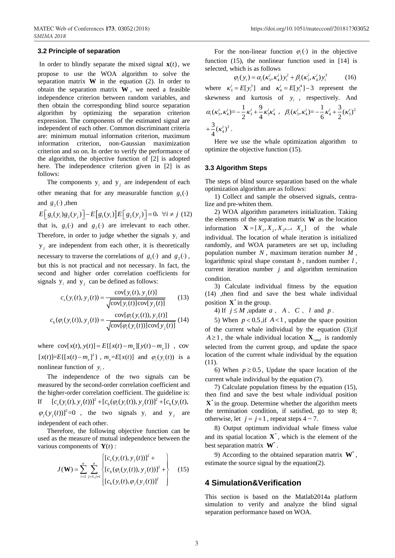### **3.2 Principle of separation**

In order to blindly separate the mixed signal  $\mathbf{x}(t)$ , we propose to use the WOA algorithm to solve the separation matrix  $W$  in the equation (2). In order to obtain the separation matrix **W** , we need a feasible independence criterion between random variables, and then obtain the corresponding blind source separation algorithm by optimizing the separation criterion expression. The components of the estimated signal are independent of each other. Common discriminant criteria are: minimum mutual information criterion, maximum information criterion, non-Gaussian maximization criterion and so on. In order to verify the performance of the algorithm, the objective function of [2] is adopted here. The independence criterion given in [2] is as follows:

The components  $y_i$  and  $y_j$  are independent of each other meaning that for any measurable function  $g_1(\cdot)$ and  $g_2(\cdot)$ , then

and 
$$
g_2(\cdot)
$$
, then  
\n
$$
E[g_1(y_i)g_2(y_j)] - E[g_1(y_i)]E[g_2(y_j)] = 0, \forall i \neq j \text{ (12)}
$$

that is,  $g_1(\cdot)$  and  $g_2(\cdot)$  are irrelevant to each other. Therefore, in order to judge whether the signals  $y_i$  and  $y_j$  are independent from each other, it is theoretically necessary to traverse the correlations of  $g_1(\cdot)$  and  $g_2(\cdot)$ , but this is not practical and not necessary. In fact, the second and higher order correlation coefficients for

\n signals 
$$
y_i
$$
 and  $y_j$  can be defined as follows:\n

\n\n
$$
c_s(y_i(t), y_j(t)) = \frac{\text{cov}[y_i(t), y_j(t)]}{\sqrt{\text{cov}[y_i(t)]\text{cov}[y_j(t)]}} \tag{13}
$$
\n

\n\n
$$
c_h(\varphi_i(y_i(t)), y_j(t)) = \frac{\text{cov}[\varphi_i(y_i(t)), y_j(t)]}{\sqrt{\text{cov}[\varphi_i(y_i(t))\text{cov}[y_i(t)]}} \tag{14}
$$
\n

$$
c_h(\varphi_i(y_i(t)), y_j(t)) = \frac{\text{cov}[\varphi_i(y_i(t)), y_j(t)]}{\sqrt{\text{cov}[\varphi_i(y_i(t))]\text{cov}[y_j(t)]}} (14)
$$

where  $cov[x(t), y(t)] = E\{[x(t) - m_x][y(t) - m_y]\}$ , cov  $[x(t)] = E\{ [x(t) - m_x]^2 \}$ ,  $m_x = E[x(t)]$  and  $\varphi_i(y_i(t))$  is a nonlinear function of  $y_i$ .

The independence of the two signals can be measured by the second-order correlation coefficient and the higher-order correlation coefficient. The guideline is: If  $[c_s(y_i(t), y_i(t))]^2 + [c_h(\varphi_i(y_i(t)), y_i(t))]^2 + [c_h(y_i(t),$  $\varphi_j(y_j(t))]^2 = 0$ , the two signals  $y_i$  and  $y_j$  are independent of each other.

Therefore, the following objective function can be used as the measure of mutual independence between the various components of  $Y(t)$ :

s components of 
$$
\mathbf{I}(t)
$$
.  
\n
$$
J(\mathbf{W}) = \sum_{i=1}^{n} \sum_{j=1, j \neq i}^{n} \begin{cases} [c_{s}(y_{i}(t), y_{j}(t))]^{2} + \\ [c_{h}(\varphi_{i}(y_{i}(t)), y_{j}(t))]^{2} + \\ [c_{h}(y_{i}(t), \varphi_{j}(y_{j}(t))]^{2} \end{cases}
$$
\n(15)

For the non-linear function  $\varphi_i(\cdot)$  in the objective function (15), the nonlinear function used in [14] is selected, which is as follows<br>  $\varphi_i(y_i) = \alpha_i(\kappa_3^i, \kappa_4^i) y_i^2 + \beta_i(\kappa_3^i, \kappa_4^i) y_i$  $2 \times i = i \times 3$ 

$$
\varphi_i(y_i) = \alpha_i(\kappa_3^i, \kappa_4^i) y_i^2 + \beta_i(\kappa_3^i, \kappa_4^i) y_i^3 \qquad (16)
$$
  
where  $\kappa_3^i = E[y_i^3]$  and  $\kappa_4^i = E[y_i^4] - 3$  represent the  
skewness and kurtosis of  $y_i$ , respectively. And  
 $\alpha_i(\kappa_3^i, \kappa_4^i) = -\frac{1}{2}\kappa_3^i + \frac{9}{4}\kappa_3^i \kappa_4^i$ ,  $\beta_i(\kappa_3^i, \kappa_4^i) = -\frac{1}{6}\kappa_4^i + \frac{3}{2}(\kappa_3^i)^2$   
 $+ \frac{3}{4}(\kappa_4^i)^2$ .

Here we use the whale optimization algorithm to optimize the objective function (15).

#### **3.3 Algorithm Steps**

The steps of blind source separation based on the whale optimization algorithm are as follows:

1) Collect and sample the observed signals, centralize and pre-whiten them.

2) WOA algorithm parameters initialization. Taking the elements of the separation matrix **W** as the location information  $\mathbf{X} = [X_1, X_2, X_3, \dots, X_n]$  of the whale individual. The location of whale iteration is initialized randomly, and WOA parameters are set up, including population number *N* , maximum iteration number *M* , logarithmic spiral shape constant *b* , random number *l* , current iteration number  $j$  and algorithm termination condition.

3) Calculate individual fitness by the equation (14) ,then find and save the best whale individual position  $X^*$  in the group.

4) If  $j \leq M$ , update  $a \setminus A \setminus C \setminus l$  and  $p$ .

5) When  $p < 0.5$ , if  $A < 1$ , update the space position of the current whale individual by the equation (3);if  $A \ge 1$ , the whale individual location  $\mathbf{X}_{rand}$  is randomly selected from the current group, and update the space location of the current whale individual by the equation (11).

6) When  $p \ge 0.5$ , Update the space location of the current whale individual by the equation (7).

7) Calculate population fitness by the equation (15), then find and save the best whale individual position  $X^*$  in the group. Determine whether the algorithm meets the termination condition, if satisfied, go to step 8; otherwise, let  $j = j+1$ , repeat steps  $4 \sim 7$ .

8) Output optimum individual whale fitness value and its spatial location  $X^*$ , which is the element of the best separation matrix **W**\* .

9) According to the obtained separation matrix  $W^*$ , estimate the source signal by the equation(2).

## **4 Simulation&Verification**

This section is based on the Matlab2014a platform simulation to verify and analyze the blind signal separation performance based on WOA.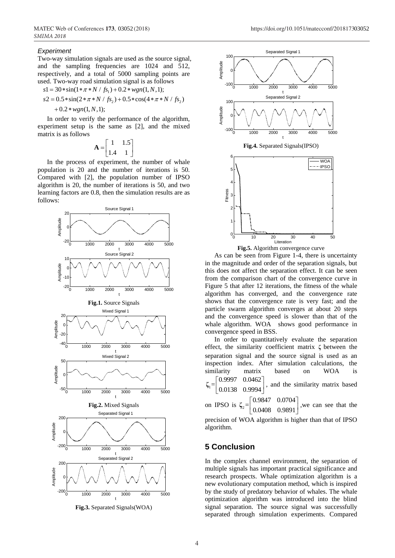#### *Experiment*

Two-way simulation signals are used as the source signal, and the sampling frequencies are 1024 and 512, respectively, and a total of 5000 sampling points are used. Two-way road simulation signal is as follows  $s1 = 30 * sin(1 * \pi * N / f_{s_1}) + 0.2 * wgn(1, N, 1);$ 

$$
s1 = 30 * \sin(1 * \pi * N / fs_1) + 0.2 * wgn(1, N, 1);
$$

$$
s1 = 30 * sin(1 * \pi * N / fs_1) + 0.2 * wgn(1, N, 1);
$$
  
\n
$$
s2 = 0.5 * sin(2 * \pi * N / fs_2) + 0.5 * cos(4 * \pi * N / fs_2)
$$
  
\n
$$
+ 0.2 * wgn(1, N, 1);
$$

In order to verify the performance of the algorithm, experiment setup is the same as [2], and the mixed matrix is as follows

$$
\mathbf{A} = \begin{bmatrix} 1 & 1.5 \\ 1.4 & 1 \end{bmatrix}
$$

In the process of experiment, the number of whale population is 20 and the number of iterations is 50. Compared with [2], the population number of IPSO algorithm is 20, the number of iterations is 50, and two learning factors are 0.8, then the simulation results are as follows:



**Fig.3.** Separated Signals(WOA)



**Fig.5.** Algorithm convergence curve

As can be seen from Figure 1-4, there is uncertainty in the magnitude and order of the separation signals, but this does not affect the separation effect. It can be seen from the comparison chart of the convergence curve in Figure 5 that after 12 iterations, the fitness of the whale algorithm has converged, and the convergence rate shows that the convergence rate is very fast; and the particle swarm algorithm converges at about 20 steps and the convergence speed is slower than that of the whale algorithm. WOA shows good performance in convergence speed in BSS.

In order to quantitatively evaluate the separation effect, the similarity coefficient matrix **ζ** between the separation signal and the source signal is used as an inspection index. After simulation calculations, the similarity matrix based on WOA is  $\begin{bmatrix} 0.9997 & 0.0462 \end{bmatrix}$ 

 $\frac{1}{2}$ =  $\begin{bmatrix} 0.0138 & 0.9994 \end{bmatrix}$ , **ζ** , and the similarity matrix based

on IPSO is  $\zeta_2 =$ 0.9847 0.0704 0.0408 0.9891  $\begin{bmatrix} 0.9847 & 0.0704 \end{bmatrix}$  $\begin{bmatrix} 0.0408 & 0.9891 \end{bmatrix}$ , we can see that the

precision of WOA algorithm is higher than that of IPSO algorithm.

## **5 Conclusion**

In the complex channel environment, the separation of multiple signals has important practical significance and research prospects. Whale optimization algorithm is a new evolutionary computation method, which is inspired by the study of predatory behavior of whales. The whale optimization algorithm was introduced into the blind signal separation. The source signal was successfully separated through simulation experiments. Compared